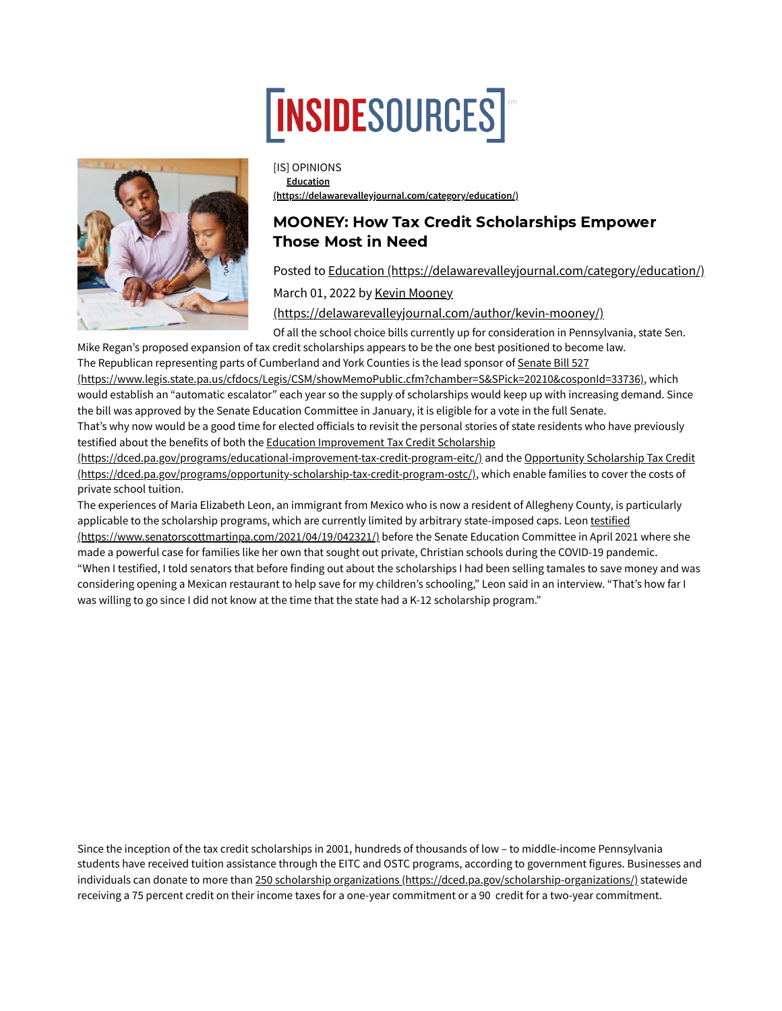## **TNSIDESOURCES**



[IS] OPINIONS **Education [\(https://delawarevalleyjournal.com/category/education/\)](https://delawarevalleyjournal.com/category/education/)**

## MOONEY: How Tax Credit Scholarships Empower Those Most in Need

Posted to Education [\(https://delawarevalleyjournal.com/category/education/\)](https://delawarevalleyjournal.com/category/education/)

March 01, 2022 by Kevin Mooney

[\(https://delawarevalleyjournal.com/author/kevin-mooney/\)](https://delawarevalleyjournal.com/author/kevin-mooney/)

Of all the school choice bills currently up for consideration in Pennsylvania, state Sen. Mike Regan's proposed expansion of tax credit scholarships appears to be the one best positioned to become law.

The Republican representing parts of Cumberland and York Counties is the lead sponsor of Senate Bill 527 [\(https://www.legis.state.pa.us/cfdocs/Legis/CSM/showMemoPublic.cfm?chamber=S&SPick=20210&cosponId=33736\),](https://www.legis.state.pa.us/cfdocs/Legis/CSM/showMemoPublic.cfm?chamber=S&SPick=20210&cosponId=33736) which would establish an "automatic escalator" each year so the supply of scholarships would keep up with increasing demand. Since the bill was approved by the Senate Education Committee in January, it is eligible for a vote in the full Senate. That's why now would be a good time for elected officials to revisit the personal stories of state residents who have previously

testified about the benefits of both the Education Improvement Tax Credit Scholarship

[\(https://dced.pa.gov/programs/educational-improvement-tax-credit-program-eitc/\)](https://dced.pa.gov/programs/educational-improvement-tax-credit-program-eitc/) and the Opportunity Scholarship Tax Credit (https://dced.pa.gov/programs/opportunity-scholarship-tax-credit-program-ostc/), which enable families to cover the costs of private school tuition.

The experiences of Maria Elizabeth Leon, an immigrant from Mexico who is now a resident of Allegheny County, is particularly applicable to the scholarship programs, which are currently limited by arbitrary state-imposed caps. Leon testified [\(https://www.senatorscottmartinpa.com/2021/04/19/042321/\)](https://www.senatorscottmartinpa.com/2021/04/19/042321/) before the Senate Education Committee in April 2021 where she made a powerful case for families like her own that sought out private, Christian schools during the COVID-19 pandemic. "When I testified, I told senators that before finding out about the scholarships I had been selling tamales to save money and was considering opening a Mexican restaurant to help save for my children's schooling," Leon said in an interview. "That's how far I was willing to go since I did not know at the time that the state had a K-12 scholarship program."

Since the inception of the tax credit scholarships in 2001, hundreds of thousands of low – to middle-income Pennsylvania students have received tuition assistance through the EITC and OSTC programs, according to government figures. Businesses and individuals can donate to more than 250 scholarship organizations [\(https://dced.pa.gov/scholarship-organizations/\)](https://dced.pa.gov/scholarship-organizations/) statewide receiving a 75 percent credit on their income taxes for a one-year commitment or a 90 credit for a two-year commitment.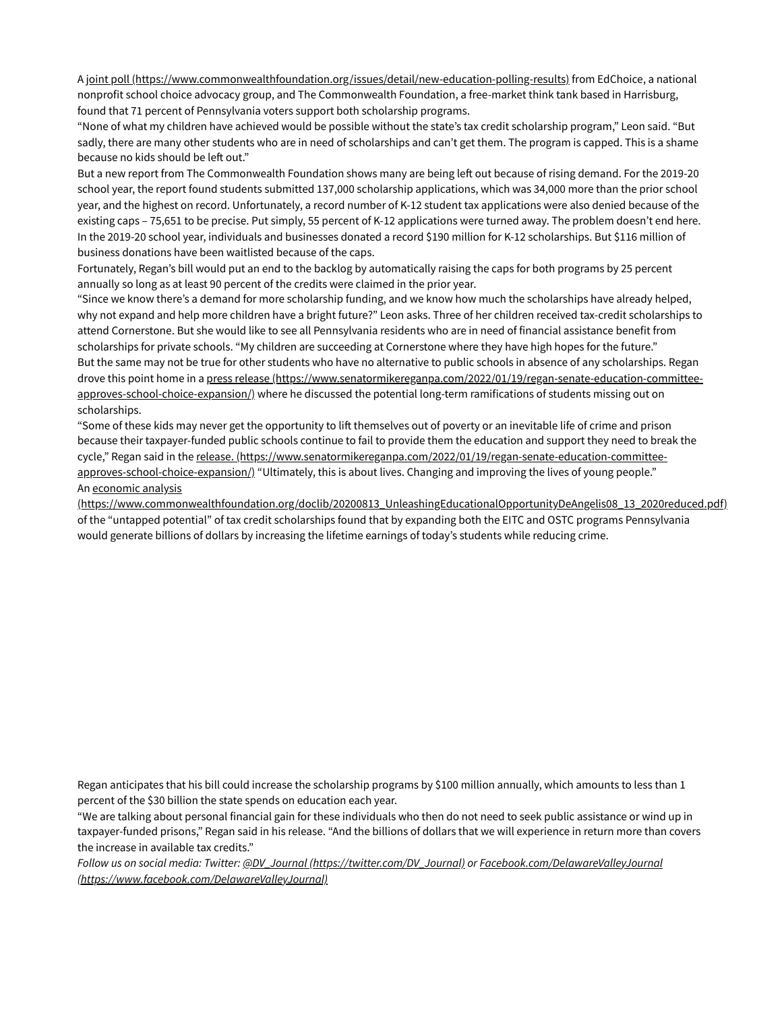A joint poll [\(https://www.commonwealthfoundation.org/issues/detail/new-education-polling-results\)](https://www.commonwealthfoundation.org/issues/detail/new-education-polling-results) from EdChoice, a national nonprofit school choice advocacy group, and The Commonwealth Foundation, a free-market think tank based in Harrisburg, found that 71 percent of Pennsylvania voters support both scholarship programs.

"None of what my children have achieved would be possible without the state's tax credit scholarship program," Leon said. "But sadly, there are many other students who are in need of scholarships and can't get them. The program is capped. This is a shame because no kids should be left out."

But a new report from The Commonwealth Foundation shows many are being left out because of rising demand. For the 2019-20 school year, the report found students submitted 137,000 scholarship applications, which was 34,000 more than the prior school year, and the highest on record. Unfortunately, a record number of K-12 student tax applications were also denied because of the existing caps – 75,651 to be precise. Put simply, 55 percent of K-12 applications were turned away. The problem doesn't end here. In the 2019-20 school year, individuals and businesses donated a record \$190 million for K-12 scholarships. But \$116 million of business donations have been waitlisted because of the caps.

Fortunately, Regan's bill would put an end to the backlog by automatically raising the caps for both programs by 25 percent annually so long as at least 90 percent of the credits were claimed in the prior year.

"Since we know there's a demand for more scholarship funding, and we know how much the scholarships have already helped, why not expand and help more children have a bright future?" Leon asks. Three of her children received tax-credit scholarships to attend Cornerstone. But she would like to see all Pennsylvania residents who are in need of financial assistance benefit from scholarships for private schools. "My children are succeeding at Cornerstone where they have high hopes for the future." But the same may not be true for other students who have no alternative to public schools in absence of any scholarships. Regan drove this point home in a press release [\(https://www.senatormikereganpa.com/2022/01/19/regan-senate-education-committee](https://www.senatormikereganpa.com/2022/01/19/regan-senate-education-committee-approves-school-choice-expansion/)approves-school-choice-expansion/) where he discussed the potential long-term ramifications of students missing out on scholarships.

"Some of these kids may never get the opportunity to lift themselves out of poverty or an inevitable life of crime and prison because their taxpayer-funded public schools continue to fail to provide them the education and support they need to break the cycle," Regan said in the release. [\(https://www.senatormikereganpa.com/2022/01/19/regan-senate-education-committee](https://www.senatormikereganpa.com/2022/01/19/regan-senate-education-committee-approves-school-choice-expansion/)approves-school-choice-expansion/) "Ultimately, this is about lives. Changing and improving the lives of young people." An economic analysis

[\(https://www.commonwealthfoundation.org/doclib/20200813\\_UnleashingEducationalOpportunityDeAngelis08\\_13\\_2020reduced.pdf\)](https://www.commonwealthfoundation.org/doclib/20200813_UnleashingEducationalOpportunityDeAngelis08_13_2020reduced.pdf) of the "untapped potential" of tax credit scholarships found that by expanding both the EITC and OSTC programs Pennsylvania would generate billions of dollars by increasing the lifetime earnings of today's students while reducing crime.

Regan anticipates that his bill could increase the scholarship programs by \$100 million annually, which amounts to less than 1 percent of the \$30 billion the state spends on education each year.

"We are talking about personal financial gain for these individuals who then do not need to seek public assistance or wind up in taxpayer-funded prisons," Regan said in his release. "And the billions of dollars that we will experience in return more than covers the increase in available tax credits."

*Follow us on social media: Twitter: @DV\_Journal [\(https://twitter.com/DV\\_Journal\)](https://twitter.com/DV_Journal) or Facebook.com/DelawareValleyJournal [\(https://www.facebook.com/DelawareValleyJournal\)](https://www.facebook.com/DelawareValleyJournal)*